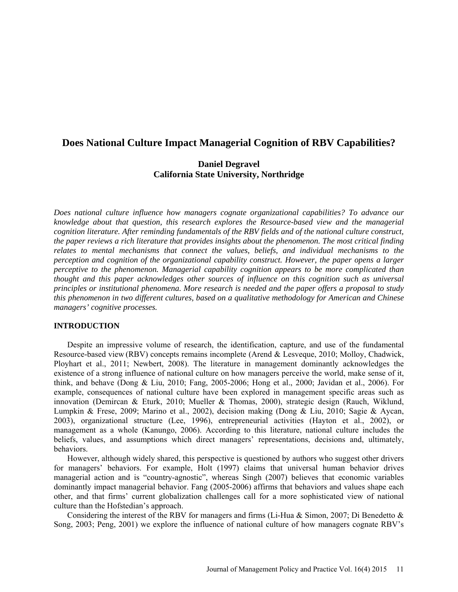# **Does National Culture Impact Managerial Cognition of RBV Capabilities?**

# **Daniel Degravel California State University, Northridge**

*Does national culture influence how managers cognate organizational capabilities? To advance our knowledge about that question, this research explores the Resource-based view and the managerial cognition literature. After reminding fundamentals of the RBV fields and of the national culture construct, the paper reviews a rich literature that provides insights about the phenomenon. The most critical finding relates to mental mechanisms that connect the values, beliefs, and individual mechanisms to the perception and cognition of the organizational capability construct. However, the paper opens a larger perceptive to the phenomenon. Managerial capability cognition appears to be more complicated than thought and this paper acknowledges other sources of influence on this cognition such as universal principles or institutional phenomena. More research is needed and the paper offers a proposal to study this phenomenon in two different cultures, based on a qualitative methodology for American and Chinese managers' cognitive processes.*

#### **INTRODUCTION**

Despite an impressive volume of research, the identification, capture, and use of the fundamental Resource-based view (RBV) concepts remains incomplete (Arend & Lesveque, 2010; Molloy, Chadwick, Ployhart et al., 2011; Newbert, 2008). The literature in management dominantly acknowledges the existence of a strong influence of national culture on how managers perceive the world, make sense of it, think, and behave (Dong & Liu, 2010; Fang, 2005-2006; Hong et al., 2000; Javidan et al., 2006). For example, consequences of national culture have been explored in management specific areas such as innovation (Demircan & Eturk, 2010; Mueller & Thomas, 2000), strategic design (Rauch, Wiklund, Lumpkin & Frese, 2009; Marino et al., 2002), decision making (Dong & Liu, 2010; Sagie & Aycan, 2003), organizational structure (Lee, 1996), entrepreneurial activities (Hayton et al., 2002), or management as a whole (Kanungo, 2006). According to this literature, national culture includes the beliefs, values, and assumptions which direct managers' representations, decisions and, ultimately, behaviors.

However, although widely shared, this perspective is questioned by authors who suggest other drivers for managers' behaviors. For example, Holt (1997) claims that universal human behavior drives managerial action and is "country-agnostic", whereas Singh (2007) believes that economic variables dominantly impact managerial behavior. Fang (2005-2006) affirms that behaviors and values shape each other, and that firms' current globalization challenges call for a more sophisticated view of national culture than the Hofstedian's approach.

Considering the interest of the RBV for managers and firms (Li-Hua  $\&$  Simon, 2007; Di Benedetto  $\&$ Song, 2003; Peng, 2001) we explore the influence of national culture of how managers cognate RBV's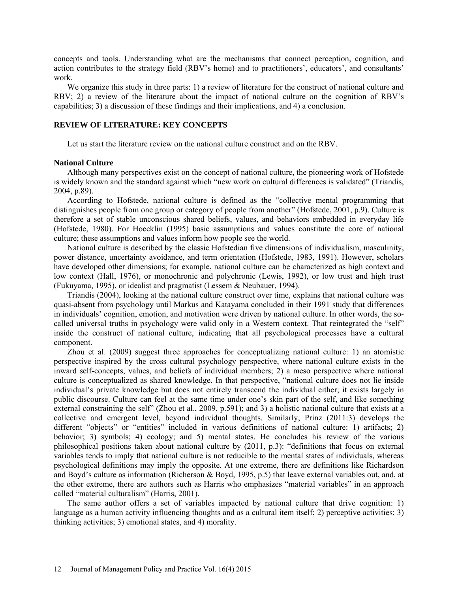concepts and tools. Understanding what are the mechanisms that connect perception, cognition, and action contributes to the strategy field (RBV's home) and to practitioners', educators', and consultants' work.

We organize this study in three parts: 1) a review of literature for the construct of national culture and RBV; 2) a review of the literature about the impact of national culture on the cognition of RBV's capabilities; 3) a discussion of these findings and their implications, and 4) a conclusion.

# **REVIEW OF LITERATURE: KEY CONCEPTS**

Let us start the literature review on the national culture construct and on the RBV.

#### **National Culture**

Although many perspectives exist on the concept of national culture, the pioneering work of Hofstede is widely known and the standard against which "new work on cultural differences is validated" (Triandis, 2004, p.89).

According to Hofstede, national culture is defined as the "collective mental programming that distinguishes people from one group or category of people from another" (Hofstede, 2001, p.9). Culture is therefore a set of stable unconscious shared beliefs, values, and behaviors embedded in everyday life (Hofstede, 1980). For Hoecklin (1995) basic assumptions and values constitute the core of national culture; these assumptions and values inform how people see the world.

National culture is described by the classic Hofstedian five dimensions of individualism, masculinity, power distance, uncertainty avoidance, and term orientation (Hofstede, 1983, 1991). However, scholars have developed other dimensions; for example, national culture can be characterized as high context and low context (Hall, 1976), or monochronic and polychronic (Lewis, 1992), or low trust and high trust (Fukuyama, 1995), or idealist and pragmatist (Lessem & Neubauer, 1994).

Triandis (2004), looking at the national culture construct over time, explains that national culture was quasi-absent from psychology until Markus and Katayama concluded in their 1991 study that differences in individuals' cognition, emotion, and motivation were driven by national culture. In other words, the socalled universal truths in psychology were valid only in a Western context. That reintegrated the "self" inside the construct of national culture, indicating that all psychological processes have a cultural component.

Zhou et al. (2009) suggest three approaches for conceptualizing national culture: 1) an atomistic perspective inspired by the cross cultural psychology perspective, where national culture exists in the inward self-concepts, values, and beliefs of individual members; 2) a meso perspective where national culture is conceptualized as shared knowledge. In that perspective, "national culture does not lie inside individual's private knowledge but does not entirely transcend the individual either; it exists largely in public discourse. Culture can feel at the same time under one's skin part of the self, and like something external constraining the self" (Zhou et al., 2009, p.591); and 3) a holistic national culture that exists at a collective and emergent level, beyond individual thoughts. Similarly, Prinz (2011:3) develops the different "objects" or "entities" included in various definitions of national culture: 1) artifacts; 2) behavior; 3) symbols; 4) ecology; and 5) mental states. He concludes his review of the various philosophical positions taken about national culture by (2011, p.3): "definitions that focus on external variables tends to imply that national culture is not reducible to the mental states of individuals, whereas psychological definitions may imply the opposite. At one extreme, there are definitions like Richardson and Boyd's culture as information (Richerson & Boyd, 1995, p.5) that leave external variables out, and, at the other extreme, there are authors such as Harris who emphasizes "material variables" in an approach called "material culturalism" (Harris, 2001).

The same author offers a set of variables impacted by national culture that drive cognition: 1) language as a human activity influencing thoughts and as a cultural item itself; 2) perceptive activities; 3) thinking activities; 3) emotional states, and 4) morality.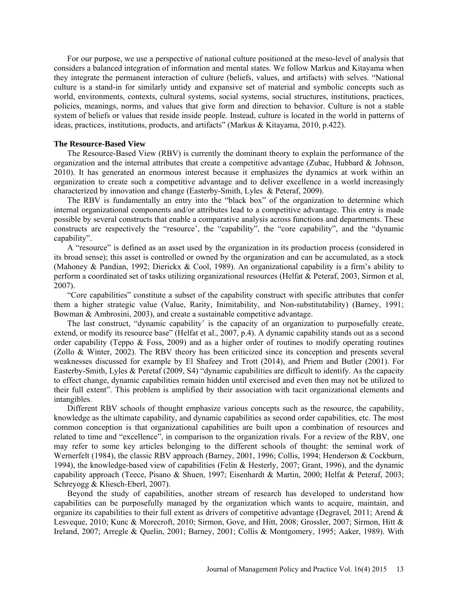For our purpose, we use a perspective of national culture positioned at the meso-level of analysis that considers a balanced integration of information and mental states. We follow Markus and Kitayama when they integrate the permanent interaction of culture (beliefs, values, and artifacts) with selves. "National culture is a stand-in for similarly untidy and expansive set of material and symbolic concepts such as world, environments, contexts, cultural systems, social systems, social structures, institutions, practices, policies, meanings, norms, and values that give form and direction to behavior. Culture is not a stable system of beliefs or values that reside inside people. Instead, culture is located in the world in patterns of ideas, practices, institutions, products, and artifacts" (Markus & Kitayama, 2010, p.422).

#### **The Resource-Based View**

The Resource-Based View (RBV) is currently the dominant theory to explain the performance of the organization and the internal attributes that create a competitive advantage (Zubac, Hubbard & Johnson, 2010). It has generated an enormous interest because it emphasizes the dynamics at work within an organization to create such a competitive advantage and to deliver excellence in a world increasingly characterized by innovation and change (Easterby-Smith, Lyles & Peteraf, 2009).

The RBV is fundamentally an entry into the "black box" of the organization to determine which internal organizational components and/or attributes lead to a competitive advantage. This entry is made possible by several constructs that enable a comparative analysis across functions and departments. These constructs are respectively the "resource', the "capability", the "core capability", and the "dynamic capability".

A "resource" is defined as an asset used by the organization in its production process (considered in its broad sense); this asset is controlled or owned by the organization and can be accumulated, as a stock (Mahoney & Pandian, 1992; Dierickx & Cool, 1989). An organizational capability is a firm's ability to perform a coordinated set of tasks utilizing organizational resources (Helfat & Peteraf, 2003, Sirmon et al, 2007).

"Core capabilities" constitute a subset of the capability construct with specific attributes that confer them a higher strategic value (Value, Rarity, Inimitability, and Non-substitutability) (Barney, 1991; Bowman & Ambrosini, 2003), and create a sustainable competitive advantage.

The last construct, "dynamic capability' is the capacity of an organization to purposefully create, extend, or modify its resource base" (Helfat et al., 2007, p.4). A dynamic capability stands out as a second order capability (Teppo  $\&$  Foss, 2009) and as a higher order of routines to modify operating routines (Zollo & Winter, 2002). The RBV theory has been criticized since its conception and presents several weaknesses discussed for example by El Shafeey and Trott (2014), and Priem and Butler (2001). For Easterby-Smith, Lyles & Peretaf (2009, S4) "dynamic capabilities are difficult to identify. As the capacity to effect change, dynamic capabilities remain hidden until exercised and even then may not be utilized to their full extent". This problem is amplified by their association with tacit organizational elements and intangibles.

Different RBV schools of thought emphasize various concepts such as the resource, the capability, knowledge as the ultimate capability, and dynamic capabilities as second order capabilities, etc. The most common conception is that organizational capabilities are built upon a combination of resources and related to time and "excellence", in comparison to the organization rivals. For a review of the RBV, one may refer to some key articles belonging to the different schools of thought: the seminal work of Wernerfelt (1984), the classic RBV approach (Barney, 2001, 1996; Collis, 1994; Henderson & Cockburn, 1994), the knowledge-based view of capabilities (Felin & Hesterly, 2007; Grant, 1996), and the dynamic capability approach (Teece, Pisano & Shuen, 1997; Eisenhardt & Martin, 2000; Helfat & Peteraf, 2003; Schreyogg & Kliesch-Eberl, 2007).

Beyond the study of capabilities, another stream of research has developed to understand how capabilities can be purposefully managed by the organization which wants to acquire, maintain, and organize its capabilities to their full extent as drivers of competitive advantage (Degravel, 2011; Arend  $\&$ Lesveque, 2010; Kunc & Morecroft, 2010; Sirmon, Gove, and Hitt, 2008; Grossler, 2007; Sirmon, Hitt & Ireland, 2007; Arregle & Quelin, 2001; Barney, 2001; Collis & Montgomery, 1995; Aaker, 1989). With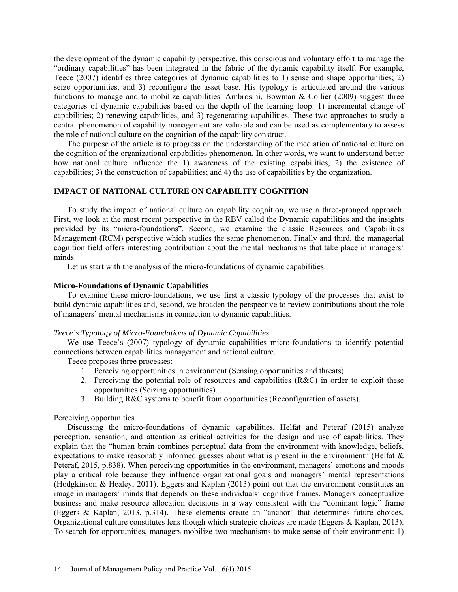the development of the dynamic capability perspective, this conscious and voluntary effort to manage the "ordinary capabilities" has been integrated in the fabric of the dynamic capability itself. For example, Teece (2007) identifies three categories of dynamic capabilities to 1) sense and shape opportunities; 2) seize opportunities, and 3) reconfigure the asset base. His typology is articulated around the various functions to manage and to mobilize capabilities. Ambrosini, Bowman & Collier (2009) suggest three categories of dynamic capabilities based on the depth of the learning loop: 1) incremental change of capabilities; 2) renewing capabilities, and 3) regenerating capabilities. These two approaches to study a central phenomenon of capability management are valuable and can be used as complementary to assess the role of national culture on the cognition of the capability construct.

The purpose of the article is to progress on the understanding of the mediation of national culture on the cognition of the organizational capabilities phenomenon. In other words, we want to understand better how national culture influence the 1) awareness of the existing capabilities, 2) the existence of capabilities; 3) the construction of capabilities; and 4) the use of capabilities by the organization.

# **IMPACT OF NATIONAL CULTURE ON CAPABILITY COGNITION**

To study the impact of national culture on capability cognition, we use a three-pronged approach. First, we look at the most recent perspective in the RBV called the Dynamic capabilities and the insights provided by its "micro-foundations". Second, we examine the classic Resources and Capabilities Management (RCM) perspective which studies the same phenomenon. Finally and third, the managerial cognition field offers interesting contribution about the mental mechanisms that take place in managers' minds.

Let us start with the analysis of the micro-foundations of dynamic capabilities.

#### **Micro-Foundations of Dynamic Capabilities**

To examine these micro-foundations, we use first a classic typology of the processes that exist to build dynamic capabilities and, second, we broaden the perspective to review contributions about the role of managers' mental mechanisms in connection to dynamic capabilities.

## *Teece's Typology of Micro-Foundations of Dynamic Capabilities*

We use Teece's (2007) typology of dynamic capabilities micro-foundations to identify potential connections between capabilities management and national culture.

Teece proposes three processes:

- 1. Perceiving opportunities in environment (Sensing opportunities and threats).
- 2. Perceiving the potential role of resources and capabilities  $(R&C)$  in order to exploit these opportunities (Seizing opportunities).
- 3. Building R&C systems to benefit from opportunities (Reconfiguration of assets).

#### Perceiving opportunities

Discussing the micro-foundations of dynamic capabilities, Helfat and Peteraf (2015) analyze perception, sensation, and attention as critical activities for the design and use of capabilities. They explain that the "human brain combines perceptual data from the environment with knowledge, beliefs, expectations to make reasonably informed guesses about what is present in the environment" (Helfat  $\&$ Peteraf, 2015, p.838). When perceiving opportunities in the environment, managers' emotions and moods play a critical role because they influence organizational goals and managers' mental representations (Hodgkinson & Healey, 2011). Eggers and Kaplan (2013) point out that the environment constitutes an image in managers' minds that depends on these individuals' cognitive frames. Managers conceptualize business and make resource allocation decisions in a way consistent with the "dominant logic" frame (Eggers & Kaplan, 2013, p.314). These elements create an "anchor" that determines future choices. Organizational culture constitutes lens though which strategic choices are made (Eggers & Kaplan, 2013). To search for opportunities, managers mobilize two mechanisms to make sense of their environment: 1)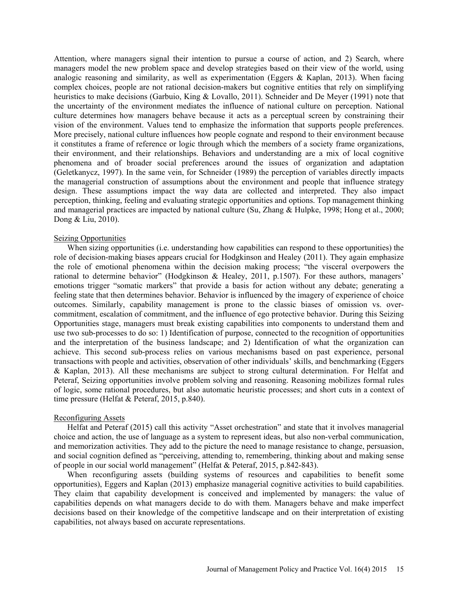Attention, where managers signal their intention to pursue a course of action, and 2) Search, where managers model the new problem space and develop strategies based on their view of the world, using analogic reasoning and similarity, as well as experimentation (Eggers  $\&$  Kaplan, 2013). When facing complex choices, people are not rational decision-makers but cognitive entities that rely on simplifying heuristics to make decisions (Garbuio, King & Lovallo, 2011). Schneider and De Meyer (1991) note that the uncertainty of the environment mediates the influence of national culture on perception. National culture determines how managers behave because it acts as a perceptual screen by constraining their vision of the environment. Values tend to emphasize the information that supports people preferences. More precisely, national culture influences how people cognate and respond to their environment because it constitutes a frame of reference or logic through which the members of a society frame organizations, their environment, and their relationships. Behaviors and understanding are a mix of local cognitive phenomena and of broader social preferences around the issues of organization and adaptation (Geletkanycz, 1997). In the same vein, for Schneider (1989) the perception of variables directly impacts the managerial construction of assumptions about the environment and people that influence strategy design. These assumptions impact the way data are collected and interpreted. They also impact perception, thinking, feeling and evaluating strategic opportunities and options. Top management thinking and managerial practices are impacted by national culture (Su, Zhang & Hulpke, 1998; Hong et al., 2000; Dong & Liu, 2010).

### Seizing Opportunities

When sizing opportunities (i.e. understanding how capabilities can respond to these opportunities) the role of decision-making biases appears crucial for Hodgkinson and Healey (2011). They again emphasize the role of emotional phenomena within the decision making process; "the visceral overpowers the rational to determine behavior" (Hodgkinson & Healey, 2011, p.1507). For these authors, managers' emotions trigger "somatic markers" that provide a basis for action without any debate; generating a feeling state that then determines behavior. Behavior is influenced by the imagery of experience of choice outcomes. Similarly, capability management is prone to the classic biases of omission vs. overcommitment, escalation of commitment, and the influence of ego protective behavior. During this Seizing Opportunities stage, managers must break existing capabilities into components to understand them and use two sub-processes to do so: 1) Identification of purpose, connected to the recognition of opportunities and the interpretation of the business landscape; and 2) Identification of what the organization can achieve. This second sub-process relies on various mechanisms based on past experience, personal transactions with people and activities, observation of other individuals' skills, and benchmarking (Eggers & Kaplan, 2013). All these mechanisms are subject to strong cultural determination. For Helfat and Peteraf, Seizing opportunities involve problem solving and reasoning. Reasoning mobilizes formal rules of logic, some rational procedures, but also automatic heuristic processes; and short cuts in a context of time pressure (Helfat & Peteraf, 2015, p.840).

#### Reconfiguring Assets

Helfat and Peteraf (2015) call this activity "Asset orchestration" and state that it involves managerial choice and action, the use of language as a system to represent ideas, but also non-verbal communication, and memorization activities. They add to the picture the need to manage resistance to change, persuasion, and social cognition defined as "perceiving, attending to, remembering, thinking about and making sense of people in our social world management" (Helfat & Peteraf, 2015, p.842-843).

When reconfiguring assets (building systems of resources and capabilities to benefit some opportunities), Eggers and Kaplan (2013) emphasize managerial cognitive activities to build capabilities. They claim that capability development is conceived and implemented by managers: the value of capabilities depends on what managers decide to do with them. Managers behave and make imperfect decisions based on their knowledge of the competitive landscape and on their interpretation of existing capabilities, not always based on accurate representations.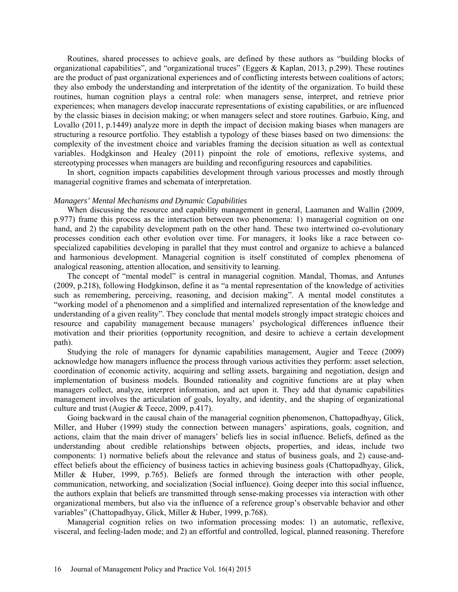Routines, shared processes to achieve goals, are defined by these authors as "building blocks of organizational capabilities", and "organizational truces" (Eggers & Kaplan, 2013, p.299). These routines are the product of past organizational experiences and of conflicting interests between coalitions of actors; they also embody the understanding and interpretation of the identity of the organization. To build these routines, human cognition plays a central role: when managers sense, interpret, and retrieve prior experiences; when managers develop inaccurate representations of existing capabilities, or are influenced by the classic biases in decision making; or when managers select and store routines. Garbuio, King, and Lovallo (2011, p.1449) analyze more in depth the impact of decision making biases when managers are structuring a resource portfolio. They establish a typology of these biases based on two dimensions: the complexity of the investment choice and variables framing the decision situation as well as contextual variables. Hodgkinson and Healey (2011) pinpoint the role of emotions, reflexive systems, and stereotyping processes when managers are building and reconfiguring resources and capabilities.

In short, cognition impacts capabilities development through various processes and mostly through managerial cognitive frames and schemata of interpretation.

#### *Managers' Mental Mechanisms and Dynamic Capabilities*

When discussing the resource and capability management in general, Laamanen and Wallin (2009, p.977) frame this process as the interaction between two phenomena: 1) managerial cognition on one hand, and 2) the capability development path on the other hand. These two intertwined co-evolutionary processes condition each other evolution over time. For managers, it looks like a race between cospecialized capabilities developing in parallel that they must control and organize to achieve a balanced and harmonious development. Managerial cognition is itself constituted of complex phenomena of analogical reasoning, attention allocation, and sensitivity to learning.

The concept of "mental model" is central in managerial cognition. Mandal, Thomas, and Antunes (2009, p.218), following Hodgkinson, define it as "a mental representation of the knowledge of activities such as remembering, perceiving, reasoning, and decision making". A mental model constitutes a "working model of a phenomenon and a simplified and internalized representation of the knowledge and understanding of a given reality". They conclude that mental models strongly impact strategic choices and resource and capability management because managers' psychological differences influence their motivation and their priorities (opportunity recognition, and desire to achieve a certain development path).

Studying the role of managers for dynamic capabilities management, Augier and Teece (2009) acknowledge how managers influence the process through various activities they perform: asset selection, coordination of economic activity, acquiring and selling assets, bargaining and negotiation, design and implementation of business models. Bounded rationality and cognitive functions are at play when managers collect, analyze, interpret information, and act upon it. They add that dynamic capabilities management involves the articulation of goals, loyalty, and identity, and the shaping of organizational culture and trust (Augier & Teece, 2009, p.417).

Going backward in the causal chain of the managerial cognition phenomenon, Chattopadhyay, Glick, Miller, and Huber (1999) study the connection between managers' aspirations, goals, cognition, and actions, claim that the main driver of managers' beliefs lies in social influence. Beliefs, defined as the understanding about credible relationships between objects, properties, and ideas, include two components: 1) normative beliefs about the relevance and status of business goals, and 2) cause-andeffect beliefs about the efficiency of business tactics in achieving business goals (Chattopadhyay, Glick, Miller & Huber, 1999, p.765). Beliefs are formed through the interaction with other people, communication, networking, and socialization (Social influence). Going deeper into this social influence, the authors explain that beliefs are transmitted through sense-making processes via interaction with other organizational members, but also via the influence of a reference group's observable behavior and other variables" (Chattopadhyay, Glick, Miller & Huber, 1999, p.768).

Managerial cognition relies on two information processing modes: 1) an automatic, reflexive, visceral, and feeling-laden mode; and 2) an effortful and controlled, logical, planned reasoning. Therefore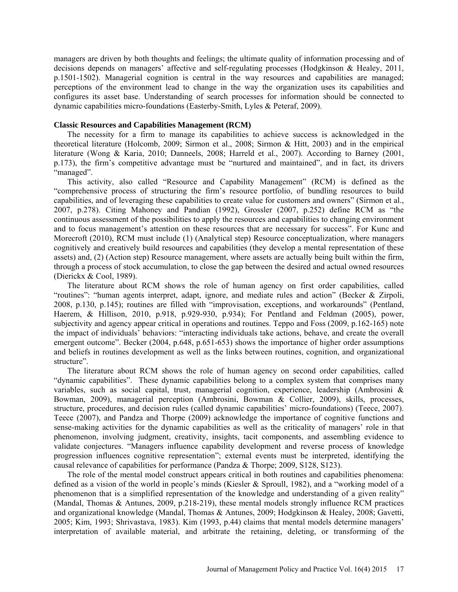managers are driven by both thoughts and feelings; the ultimate quality of information processing and of decisions depends on managers' affective and self-regulating processes (Hodgkinson & Healey, 2011, p.1501-1502). Managerial cognition is central in the way resources and capabilities are managed; perceptions of the environment lead to change in the way the organization uses its capabilities and configures its asset base. Understanding of search processes for information should be connected to dynamic capabilities micro-foundations (Easterby-Smith, Lyles & Peteraf, 2009).

## **Classic Resources and Capabilities Management (RCM)**

The necessity for a firm to manage its capabilities to achieve success is acknowledged in the theoretical literature (Holcomb, 2009; Sirmon et al., 2008; Sirmon & Hitt, 2003) and in the empirical literature (Wong & Karia, 2010; Danneels, 2008; Harreld et al., 2007). According to Barney (2001, p.173), the firm's competitive advantage must be "nurtured and maintained", and in fact, its drivers "managed".

This activity, also called "Resource and Capability Management" (RCM) is defined as the "comprehensive process of structuring the firm's resource portfolio, of bundling resources to build capabilities, and of leveraging these capabilities to create value for customers and owners" (Sirmon et al., 2007, p.278). Citing Mahoney and Pandian (1992), Grossler (2007, p.252) define RCM as "the continuous assessment of the possibilities to apply the resources and capabilities to changing environment and to focus management's attention on these resources that are necessary for success". For Kunc and Morecroft (2010), RCM must include (1) (Analytical step) Resource conceptualization, where managers cognitively and creatively build resources and capabilities (they develop a mental representation of these assets) and, (2) (Action step) Resource management, where assets are actually being built within the firm, through a process of stock accumulation, to close the gap between the desired and actual owned resources (Dierickx & Cool, 1989).

The literature about RCM shows the role of human agency on first order capabilities, called "routines": "human agents interpret, adapt, ignore, and mediate rules and action" (Becker & Zirpoli, 2008, p.130, p.145); routines are filled with "improvisation, exceptions, and workarounds" (Pentland, Haerem, & Hillison, 2010, p.918, p.929-930, p.934); For Pentland and Feldman (2005), power, subjectivity and agency appear critical in operations and routines. Teppo and Foss (2009, p.162-165) note the impact of individuals' behaviors: "interacting individuals take actions, behave, and create the overall emergent outcome". Becker (2004, p.648, p.651-653) shows the importance of higher order assumptions and beliefs in routines development as well as the links between routines, cognition, and organizational structure".

The literature about RCM shows the role of human agency on second order capabilities, called "dynamic capabilities". These dynamic capabilities belong to a complex system that comprises many variables, such as social capital, trust, managerial cognition, experience, leadership (Ambrosini & Bowman, 2009), managerial perception (Ambrosini, Bowman & Collier, 2009), skills, processes, structure, procedures, and decision rules (called dynamic capabilities' micro-foundations) (Teece, 2007). Teece (2007), and Pandza and Thorpe (2009) acknowledge the importance of cognitive functions and sense-making activities for the dynamic capabilities as well as the criticality of managers' role in that phenomenon, involving judgment, creativity, insights, tacit components, and assembling evidence to validate conjectures. "Managers influence capability development and reverse process of knowledge progression influences cognitive representation"; external events must be interpreted, identifying the causal relevance of capabilities for performance (Pandza & Thorpe; 2009, S128, S123).

The role of the mental model construct appears critical in both routines and capabilities phenomena: defined as a vision of the world in people's minds (Kiesler & Sproull, 1982), and a "working model of a phenomenon that is a simplified representation of the knowledge and understanding of a given reality" (Mandal, Thomas & Antunes, 2009, p.218-219), these mental models strongly influence RCM practices and organizational knowledge (Mandal, Thomas & Antunes, 2009; Hodgkinson & Healey, 2008; Gavetti, 2005; Kim, 1993; Shrivastava, 1983). Kim (1993, p.44) claims that mental models determine managers' interpretation of available material, and arbitrate the retaining, deleting, or transforming of the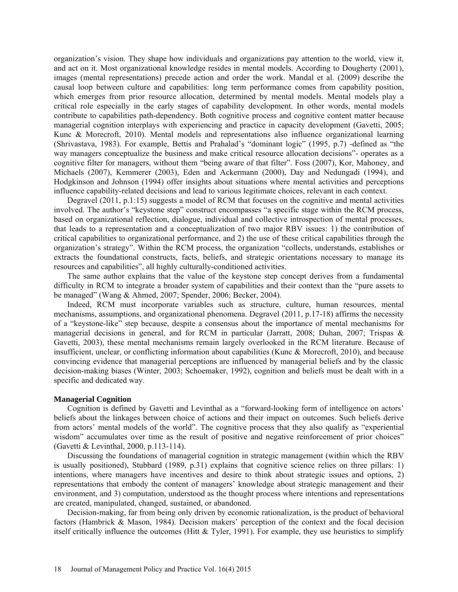organization's vision. They shape how individuals and organizations pay attention to the world, view it, and act on it. Most organizational knowledge resides in mental models. According to Dougherty (2001), images (mental representations) precede action and order the work. Mandal et al. (2009) describe the causal loop between culture and capabilities: long term performance comes from capability position, which emerges from prior resource allocation, determined by mental models. Mental models play a critical role especially in the early stages of capability development. In other words, mental models contribute to capabilities path-dependency. Both cognitive process and cognitive content matter because managerial cognition interplays with experiencing and practice in capacity development (Gavetti, 2005; Kunc & Morecroft, 2010). Mental models and representations also influence organizational learning (Shrivastava, 1983). For example, Bettis and Prahalad's "dominant logic" (1995, p.7) -defined as "the way managers conceptualize the business and make critical resource allocation decisions"- operates as a cognitive filter for managers, without them "being aware of that filter". Foss (2007), Kor, Mahoney, and Michaels (2007), Kemmerer (2003), Eden and Ackermann (2000), Day and Nedungadi (1994), and Hodgkinson and Johnson (1994) offer insights about situations where mental activities and perceptions influence capability-related decisions and lead to various legitimate choices, relevant in each context.

Degravel (2011, p.1:15) suggests a model of RCM that focuses on the cognitive and mental activities involved. The author's "keystone step" construct encompasses "a specific stage within the RCM process, based on organizational reflection, dialogue, individual and collective introspection of mental processes, that leads to a representation and a conceptualization of two major RBV issues: 1) the contribution of critical capabilities to organizational performance, and 2) the use of these critical capabilities through the organization's strategy". Within the RCM process, the organization "collects, understands, establishes or extracts the foundational constructs, facts, beliefs, and strategic orientations necessary to manage its resources and capabilities", all highly culturally-conditioned activities.

The same author explains that the value of the keystone step concept derives from a fundamental difficulty in RCM to integrate a broader system of capabilities and their context than the "pure assets to be managed" (Wang & Ahmed, 2007; Spender, 2006; Becker, 2004).

Indeed, RCM must incorporate variables such as structure, culture, human resources, mental mechanisms, assumptions, and organizational phenomena. Degravel (2011, p.17-18) affirms the necessity of a "keystone-like" step because, despite a consensus about the importance of mental mechanisms for managerial decisions in general, and for RCM in particular (Jarratt, 2008; Duhan, 2007; Trispas & Gavetti, 2003), these mental mechanisms remain largely overlooked in the RCM literature. Because of insufficient, unclear, or conflicting information about capabilities (Kunc & Morecroft, 2010), and because convincing evidence that managerial perceptions are influenced by managerial beliefs and by the classic decision-making biases (Winter, 2003; Schoemaker, 1992), cognition and beliefs must be dealt with in a specific and dedicated way.

## **Managerial Cognition**

Cognition is defined by Gavetti and Levinthal as a "forward-looking form of intelligence on actors' beliefs about the linkages between choice of actions and their impact on outcomes. Such beliefs derive from actors' mental models of the world". The cognitive process that they also qualify as "experiential wisdom" accumulates over time as the result of positive and negative reinforcement of prior choices" (Gavetti & Levinthal, 2000, p.113-114).

Discussing the foundations of managerial cognition in strategic management (within which the RBV is usually positioned), Stubbard (1989, p.31) explains that cognitive science relies on three pillars: 1) intentions, where managers have incentives and desire to think about strategic issues and options, 2) representations that embody the content of managers' knowledge about strategic management and their environment, and 3) computation, understood as the thought process where intentions and representations are created, manipulated, changed, sustained, or abandoned.

Decision-making, far from being only driven by economic rationalization, is the product of behavioral factors (Hambrick & Mason, 1984). Decision makers' perception of the context and the focal decision itself critically influence the outcomes (Hitt & Tyler, 1991). For example, they use heuristics to simplify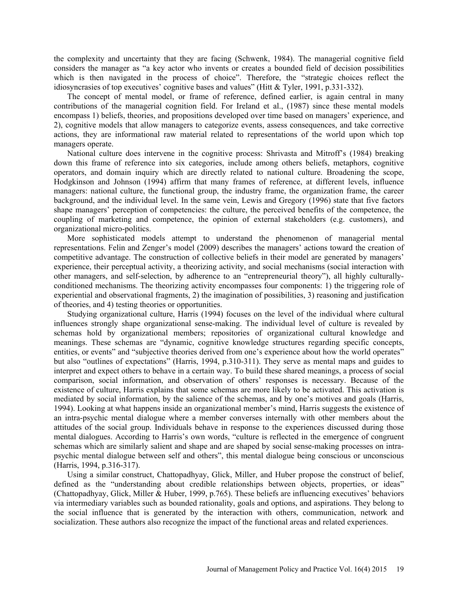the complexity and uncertainty that they are facing (Schwenk, 1984). The managerial cognitive field considers the manager as "a key actor who invents or creates a bounded field of decision possibilities which is then navigated in the process of choice". Therefore, the "strategic choices reflect the idiosyncrasies of top executives' cognitive bases and values" (Hitt & Tyler, 1991, p.331-332).

The concept of mental model, or frame of reference, defined earlier, is again central in many contributions of the managerial cognition field. For Ireland et al., (1987) since these mental models encompass 1) beliefs, theories, and propositions developed over time based on managers' experience, and 2), cognitive models that allow managers to categorize events, assess consequences, and take corrective actions, they are informational raw material related to representations of the world upon which top managers operate.

National culture does intervene in the cognitive process: Shrivasta and Mitroff's (1984) breaking down this frame of reference into six categories, include among others beliefs, metaphors, cognitive operators, and domain inquiry which are directly related to national culture. Broadening the scope, Hodgkinson and Johnson (1994) affirm that many frames of reference, at different levels, influence managers: national culture, the functional group, the industry frame, the organization frame, the career background, and the individual level. In the same vein, Lewis and Gregory (1996) state that five factors shape managers' perception of competencies: the culture, the perceived benefits of the competence, the coupling of marketing and competence, the opinion of external stakeholders (e.g. customers), and organizational micro-politics.

More sophisticated models attempt to understand the phenomenon of managerial mental representations. Felin and Zenger's model (2009) describes the managers' actions toward the creation of competitive advantage. The construction of collective beliefs in their model are generated by managers' experience, their perceptual activity, a theorizing activity, and social mechanisms (social interaction with other managers, and self-selection, by adherence to an "entrepreneurial theory"), all highly culturallyconditioned mechanisms. The theorizing activity encompasses four components: 1) the triggering role of experiential and observational fragments, 2) the imagination of possibilities, 3) reasoning and justification of theories, and 4) testing theories or opportunities.

Studying organizational culture, Harris (1994) focuses on the level of the individual where cultural influences strongly shape organizational sense-making. The individual level of culture is revealed by schemas hold by organizational members; repositories of organizational cultural knowledge and meanings. These schemas are "dynamic, cognitive knowledge structures regarding specific concepts, entities, or events" and "subjective theories derived from one's experience about how the world operates" but also "outlines of expectations" (Harris, 1994, p.310-311). They serve as mental maps and guides to interpret and expect others to behave in a certain way. To build these shared meanings, a process of social comparison, social information, and observation of others' responses is necessary. Because of the existence of culture, Harris explains that some schemas are more likely to be activated. This activation is mediated by social information, by the salience of the schemas, and by one's motives and goals (Harris, 1994). Looking at what happens inside an organizational member's mind, Harris suggests the existence of an intra-psychic mental dialogue where a member converses internally with other members about the attitudes of the social group. Individuals behave in response to the experiences discussed during those mental dialogues. According to Harris's own words, "culture is reflected in the emergence of congruent schemas which are similarly salient and shape and are shaped by social sense-making processes on intrapsychic mental dialogue between self and others", this mental dialogue being conscious or unconscious (Harris, 1994, p.316-317).

Using a similar construct, Chattopadhyay, Glick, Miller, and Huber propose the construct of belief, defined as the "understanding about credible relationships between objects, properties, or ideas" (Chattopadhyay, Glick, Miller & Huber, 1999, p.765). These beliefs are influencing executives' behaviors via intermediary variables such as bounded rationality, goals and options, and aspirations. They belong to the social influence that is generated by the interaction with others, communication, network and socialization. These authors also recognize the impact of the functional areas and related experiences.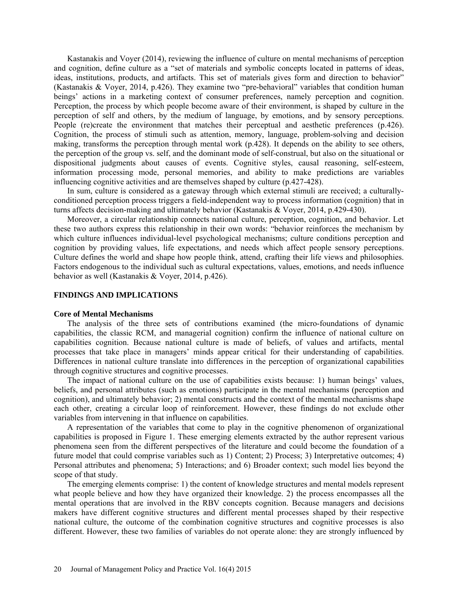Kastanakis and Voyer (2014), reviewing the influence of culture on mental mechanisms of perception and cognition, define culture as a "set of materials and symbolic concepts located in patterns of ideas, ideas, institutions, products, and artifacts. This set of materials gives form and direction to behavior" (Kastanakis & Voyer, 2014, p.426). They examine two "pre-behavioral" variables that condition human beings' actions in a marketing context of consumer preferences, namely perception and cognition. Perception, the process by which people become aware of their environment, is shaped by culture in the perception of self and others, by the medium of language, by emotions, and by sensory perceptions. People (re)create the environment that matches their perceptual and aesthetic preferences (p.426). Cognition, the process of stimuli such as attention, memory, language, problem-solving and decision making, transforms the perception through mental work (p.428). It depends on the ability to see others, the perception of the group vs. self, and the dominant mode of self-construal, but also on the situational or dispositional judgments about causes of events. Cognitive styles, causal reasoning, self-esteem, information processing mode, personal memories, and ability to make predictions are variables influencing cognitive activities and are themselves shaped by culture (p.427-428).

In sum, culture is considered as a gateway through which external stimuli are received; a culturallyconditioned perception process triggers a field-independent way to process information (cognition) that in turns affects decision-making and ultimately behavior (Kastanakis & Voyer, 2014, p.429-430).

Moreover, a circular relationship connects national culture, perception, cognition, and behavior. Let these two authors express this relationship in their own words: "behavior reinforces the mechanism by which culture influences individual-level psychological mechanisms; culture conditions perception and cognition by providing values, life expectations, and needs which affect people sensory perceptions. Culture defines the world and shape how people think, attend, crafting their life views and philosophies. Factors endogenous to the individual such as cultural expectations, values, emotions, and needs influence behavior as well (Kastanakis & Voyer, 2014, p.426).

#### **FINDINGS AND IMPLICATIONS**

### **Core of Mental Mechanisms**

The analysis of the three sets of contributions examined (the micro-foundations of dynamic capabilities, the classic RCM, and managerial cognition) confirm the influence of national culture on capabilities cognition. Because national culture is made of beliefs, of values and artifacts, mental processes that take place in managers' minds appear critical for their understanding of capabilities. Differences in national culture translate into differences in the perception of organizational capabilities through cognitive structures and cognitive processes.

The impact of national culture on the use of capabilities exists because: 1) human beings' values, beliefs, and personal attributes (such as emotions) participate in the mental mechanisms (perception and cognition), and ultimately behavior; 2) mental constructs and the context of the mental mechanisms shape each other, creating a circular loop of reinforcement. However, these findings do not exclude other variables from intervening in that influence on capabilities.

A representation of the variables that come to play in the cognitive phenomenon of organizational capabilities is proposed in Figure 1. These emerging elements extracted by the author represent various phenomena seen from the different perspectives of the literature and could become the foundation of a future model that could comprise variables such as 1) Content; 2) Process; 3) Interpretative outcomes; 4) Personal attributes and phenomena; 5) Interactions; and 6) Broader context; such model lies beyond the scope of that study.

The emerging elements comprise: 1) the content of knowledge structures and mental models represent what people believe and how they have organized their knowledge. 2) the process encompasses all the mental operations that are involved in the RBV concepts cognition. Because managers and decisions makers have different cognitive structures and different mental processes shaped by their respective national culture, the outcome of the combination cognitive structures and cognitive processes is also different. However, these two families of variables do not operate alone: they are strongly influenced by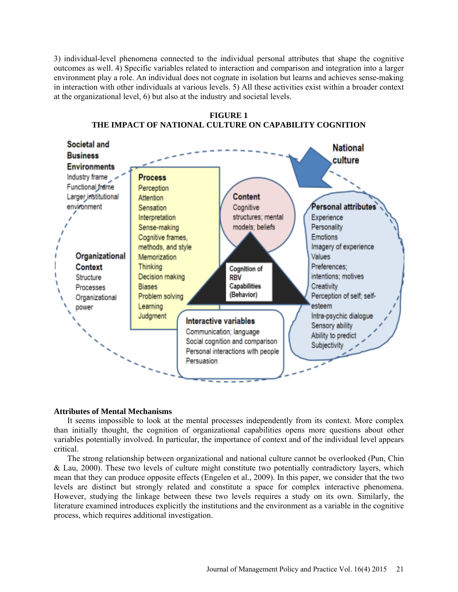3) individual-level phenomena connected to the individual personal attributes that shape the cognitive outcomes as well. 4) Specific variables related to interaction and comparison and integration into a larger environment play a role. An individual does not cognate in isolation but learns and achieves sense-making in interaction with other individuals at various levels. 5) All these activities exist within a broader context at the organizational level, 6) but also at the industry and societal levels.



**FIGURE 1 THE IMPACT OF NATIONAL CULTURE ON CAPABILITY COGNITION**

# **Attributes of Mental Mechanisms**

It seems impossible to look at the mental processes independently from its context. More complex than initially thought, the cognition of organizational capabilities opens more questions about other variables potentially involved. In particular, the importance of context and of the individual level appears critical.

The strong relationship between organizational and national culture cannot be overlooked (Pun, Chin & Lau, 2000). These two levels of culture might constitute two potentially contradictory layers, which mean that they can produce opposite effects (Engelen et al., 2009). In this paper, we consider that the two levels are distinct but strongly related and constitute a space for complex interactive phenomena. However, studying the linkage between these two levels requires a study on its own. Similarly, the literature examined introduces explicitly the institutions and the environment as a variable in the cognitive process, which requires additional investigation.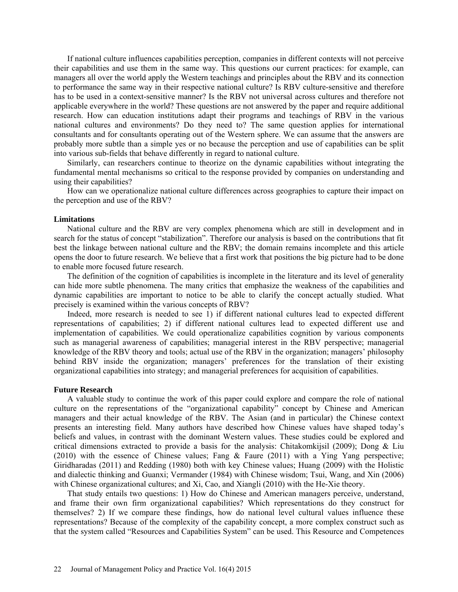If national culture influences capabilities perception, companies in different contexts will not perceive their capabilities and use them in the same way. This questions our current practices: for example, can managers all over the world apply the Western teachings and principles about the RBV and its connection to performance the same way in their respective national culture? Is RBV culture-sensitive and therefore has to be used in a context-sensitive manner? Is the RBV not universal across cultures and therefore not applicable everywhere in the world? These questions are not answered by the paper and require additional research. How can education institutions adapt their programs and teachings of RBV in the various national cultures and environments? Do they need to? The same question applies for international consultants and for consultants operating out of the Western sphere. We can assume that the answers are probably more subtle than a simple yes or no because the perception and use of capabilities can be split into various sub-fields that behave differently in regard to national culture.

Similarly, can researchers continue to theorize on the dynamic capabilities without integrating the fundamental mental mechanisms so critical to the response provided by companies on understanding and using their capabilities?

How can we operationalize national culture differences across geographies to capture their impact on the perception and use of the RBV?

#### **Limitations**

National culture and the RBV are very complex phenomena which are still in development and in search for the status of concept "stabilization". Therefore our analysis is based on the contributions that fit best the linkage between national culture and the RBV; the domain remains incomplete and this article opens the door to future research. We believe that a first work that positions the big picture had to be done to enable more focused future research.

The definition of the cognition of capabilities is incomplete in the literature and its level of generality can hide more subtle phenomena. The many critics that emphasize the weakness of the capabilities and dynamic capabilities are important to notice to be able to clarify the concept actually studied. What precisely is examined within the various concepts of RBV?

Indeed, more research is needed to see 1) if different national cultures lead to expected different representations of capabilities; 2) if different national cultures lead to expected different use and implementation of capabilities. We could operationalize capabilities cognition by various components such as managerial awareness of capabilities; managerial interest in the RBV perspective; managerial knowledge of the RBV theory and tools; actual use of the RBV in the organization; managers' philosophy behind RBV inside the organization; managers' preferences for the translation of their existing organizational capabilities into strategy; and managerial preferences for acquisition of capabilities.

#### **Future Research**

A valuable study to continue the work of this paper could explore and compare the role of national culture on the representations of the "organizational capability" concept by Chinese and American managers and their actual knowledge of the RBV. The Asian (and in particular) the Chinese context presents an interesting field. Many authors have described how Chinese values have shaped today's beliefs and values, in contrast with the dominant Western values. These studies could be explored and critical dimensions extracted to provide a basis for the analysis: Chitakomkijsil (2009); Dong  $\&$  Liu (2010) with the essence of Chinese values; Fang & Faure (2011) with a Ying Yang perspective; Giridharadas (2011) and Redding (1980) both with key Chinese values; Huang (2009) with the Holistic and dialectic thinking and Guanxi; Vermander (1984) with Chinese wisdom; Tsui, Wang, and Xin (2006) with Chinese organizational cultures; and Xi, Cao, and Xiangli (2010) with the He-Xie theory.

That study entails two questions: 1) How do Chinese and American managers perceive, understand, and frame their own firm organizational capabilities? Which representations do they construct for themselves? 2) If we compare these findings, how do national level cultural values influence these representations? Because of the complexity of the capability concept, a more complex construct such as that the system called "Resources and Capabilities System" can be used. This Resource and Competences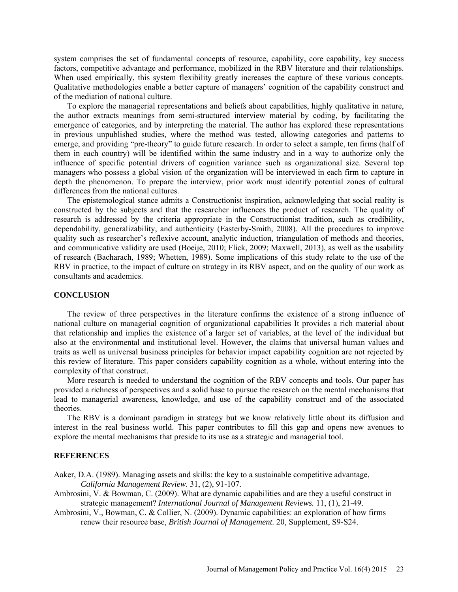system comprises the set of fundamental concepts of resource, capability, core capability, key success factors, competitive advantage and performance, mobilized in the RBV literature and their relationships. When used empirically, this system flexibility greatly increases the capture of these various concepts. Qualitative methodologies enable a better capture of managers' cognition of the capability construct and of the mediation of national culture.

To explore the managerial representations and beliefs about capabilities, highly qualitative in nature, the author extracts meanings from semi-structured interview material by coding, by facilitating the emergence of categories, and by interpreting the material. The author has explored these representations in previous unpublished studies, where the method was tested, allowing categories and patterns to emerge, and providing "pre-theory" to guide future research. In order to select a sample, ten firms (half of them in each country) will be identified within the same industry and in a way to authorize only the influence of specific potential drivers of cognition variance such as organizational size. Several top managers who possess a global vision of the organization will be interviewed in each firm to capture in depth the phenomenon. To prepare the interview, prior work must identify potential zones of cultural differences from the national cultures.

The epistemological stance admits a Constructionist inspiration, acknowledging that social reality is constructed by the subjects and that the researcher influences the product of research. The quality of research is addressed by the criteria appropriate in the Constructionist tradition, such as credibility, dependability, generalizability, and authenticity (Easterby-Smith, 2008). All the procedures to improve quality such as researcher's reflexive account, analytic induction, triangulation of methods and theories, and communicative validity are used (Boeije, 2010; Flick, 2009; Maxwell, 2013), as well as the usability of research (Bacharach, 1989; Whetten, 1989). Some implications of this study relate to the use of the RBV in practice, to the impact of culture on strategy in its RBV aspect, and on the quality of our work as consultants and academics.

#### **CONCLUSION**

The review of three perspectives in the literature confirms the existence of a strong influence of national culture on managerial cognition of organizational capabilities It provides a rich material about that relationship and implies the existence of a larger set of variables, at the level of the individual but also at the environmental and institutional level. However, the claims that universal human values and traits as well as universal business principles for behavior impact capability cognition are not rejected by this review of literature. This paper considers capability cognition as a whole, without entering into the complexity of that construct.

More research is needed to understand the cognition of the RBV concepts and tools. Our paper has provided a richness of perspectives and a solid base to pursue the research on the mental mechanisms that lead to managerial awareness, knowledge, and use of the capability construct and of the associated theories.

The RBV is a dominant paradigm in strategy but we know relatively little about its diffusion and interest in the real business world. This paper contributes to fill this gap and opens new avenues to explore the mental mechanisms that preside to its use as a strategic and managerial tool.

#### **REFERENCES**

Aaker, D.A. (1989). Managing assets and skills: the key to a sustainable competitive advantage, *California Management Review.* 31, (2), 91-107.

Ambrosini, V. & Bowman, C. (2009). What are dynamic capabilities and are they a useful construct in strategic management? *International Journal of Management Reviews.* 11, (1), 21-49.

Ambrosini, V., Bowman, C. & Collier, N. (2009). Dynamic capabilities: an exploration of how firms renew their resource base, *British Journal of Management.* 20, Supplement, S9-S24.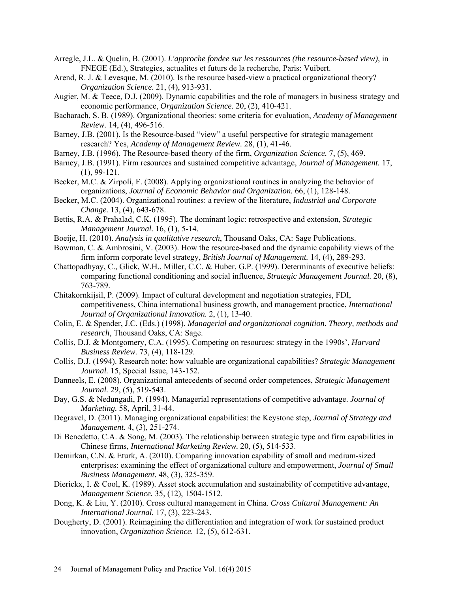- Arregle, J.L. & Quelin, B. (2001). *L'approche fondee sur les ressources (the resource-based view)*, in FNEGE (Ed.), Strategies, actualites et futurs de la recherche, Paris: Vuibert.
- Arend, R. J. & Levesque, M. (2010). Is the resource based-view a practical organizational theory? *Organization Science.* 21, (4), 913-931.
- Augier, M. & Teece, D.J. (2009). Dynamic capabilities and the role of managers in business strategy and economic performance, *Organization Science.* 20, (2), 410-421.
- Bacharach, S. B. (1989). Organizational theories: some criteria for evaluation, *Academy of Management Review.* 14, (4), 496-516.
- Barney, J.B. (2001). Is the Resource-based "view" a useful perspective for strategic management research? Yes, *Academy of Management Review.* 28, (1), 41-46.
- Barney, J.B. (1996). The Resource-based theory of the firm, *Organization Science.* 7, (5), 469.
- Barney, J.B. (1991). Firm resources and sustained competitive advantage, *Journal of Management.* 17, (1), 99-121.
- Becker, M.C. & Zirpoli, F. (2008). Applying organizational routines in analyzing the behavior of organizations, *Journal of Economic Behavior and Organization.* 66, (1), 128-148.
- Becker, M.C. (2004). Organizational routines: a review of the literature, *Industrial and Corporate Change.* 13, (4), 643-678.
- Bettis, R.A. & Prahalad, C.K. (1995). The dominant logic: retrospective and extension, *Strategic Management Journal.* 16, (1), 5-14.
- Boeije, H. (2010). *Analysis in qualitative research*, Thousand Oaks, CA: Sage Publications.
- Bowman, C. & Ambrosini, V. (2003). How the resource-based and the dynamic capability views of the firm inform corporate level strategy, *British Journal of Management.* 14, (4), 289-293.
- Chattopadhyay, C., Glick, W.H., Miller, C.C. & Huber, G.P. (1999). Determinants of executive beliefs: comparing functional conditioning and social influence, *Strategic Management Journal.* 20, (8), 763-789.
- Chitakornkijsil, P. (2009). Impact of cultural development and negotiation strategies, FDI, competitiveness, China international business growth, and management practice, *International Journal of Organizational Innovation.* 2, (1), 13-40.
- Colin, E. & Spender, J.C. (Eds.) (1998). *Managerial and organizational cognition. Theory, methods and research*, Thousand Oaks, CA: Sage.
- Collis, D.J. & Montgomery, C.A. (1995). Competing on resources: strategy in the 1990s', *Harvard Business Review.* 73, (4), 118-129.
- Collis, D.J. (1994). Research note: how valuable are organizational capabilities? *Strategic Management Journal.* 15, Special Issue, 143-152.
- Danneels, E. (2008). Organizational antecedents of second order competences, *Strategic Management Journal.* 29, (5), 519-543.
- Day, G.S. & Nedungadi, P. (1994). Managerial representations of competitive advantage. *Journal of Marketing.* 58, April, 31-44.
- Degravel, D. (2011). Managing organizational capabilities: the Keystone step, *Journal of Strategy and Management.* 4, (3), 251-274.
- Di Benedetto, C.A. & Song, M. (2003). The relationship between strategic type and firm capabilities in Chinese firms, *International Marketing Review.* 20, (5), 514-533.
- Demirkan, C.N. & Eturk, A. (2010). Comparing innovation capability of small and medium-sized enterprises: examining the effect of organizational culture and empowerment, *Journal of Small Business Management.* 48, (3), 325-359.
- Dierickx, I. & Cool, K. (1989). Asset stock accumulation and sustainability of competitive advantage, *Management Science.* 35, (12), 1504-1512.
- Dong, K. & Liu, Y. (2010). Cross cultural management in China. *Cross Cultural Management: An International Journal.* 17, (3), 223-243.
- Dougherty, D. (2001). Reimagining the differentiation and integration of work for sustained product innovation, *Organization Science.* 12, (5), 612-631.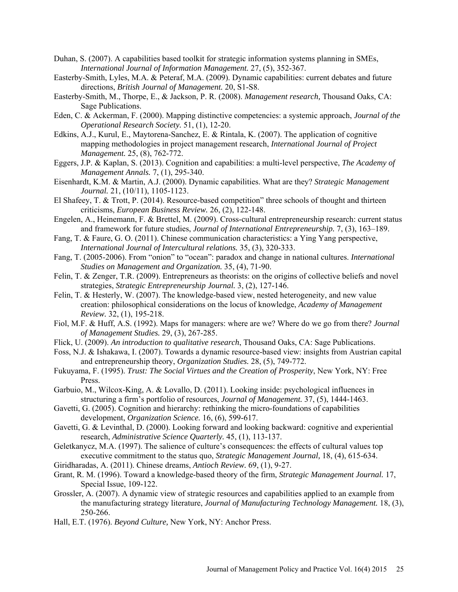- Duhan, S. (2007). A capabilities based toolkit for strategic information systems planning in SMEs, *International Journal of Information Management.* 27, (5), 352-367.
- Easterby-Smith, Lyles, M.A. & Peteraf, M.A. (2009). Dynamic capabilities: current debates and future directions, *British Journal of Management.* 20, S1-S8.
- Easterby-Smith, M., Thorpe, E., & Jackson, P. R. (2008). *Management research,* Thousand Oaks, CA: Sage Publications.
- Eden, C. & Ackerman, F. (2000). Mapping distinctive competencies: a systemic approach, *Journal of the Operational Research Society.* 51, (1), 12-20.
- Edkins, A.J., Kurul, E., Maytorena-Sanchez, E. & Rintala, K. (2007). The application of cognitive mapping methodologies in project management research, *International Journal of Project Management.* 25, (8), 762-772.
- Eggers, J.P. & Kaplan, S. (2013). Cognition and capabilities: a multi-level perspective, *The Academy of Management Annals.* 7, (1), 295-340.
- Eisenhardt, K.M. & Martin, A.J. (2000). Dynamic capabilities. What are they? *Strategic Management Journal.* 21, (10/11), 1105-1123.
- El Shafeey, T. & Trott, P. (2014). Resource-based competition" three schools of thought and thirteen criticisms, *European Business Review.* 26, (2), 122-148.
- Engelen, A., Heinemann, F. & Brettel, M. (2009). Cross-cultural entrepreneurship research: current status and framework for future studies, *Journal of International Entrepreneurship.* 7, (3), 163–189.
- Fang, T. & Faure, G. O. (2011). Chinese communication characteristics: a Ying Yang perspective, *International Journal of Intercultural relations.* 35, (3), 320-333.
- Fang, T. (2005-2006). From "onion" to "ocean": paradox and change in national cultures. *International Studies on Management and Organization.* 35, (4), 71-90.
- Felin, T. & Zenger, T.R. (2009). Entrepreneurs as theorists: on the origins of collective beliefs and novel strategies, *Strategic Entrepreneurship Journal.* 3, (2), 127-146.
- Felin, T. & Hesterly, W. (2007). The knowledge-based view, nested heterogeneity, and new value creation: philosophical considerations on the locus of knowledge, *Academy of Management Review.* 32, (1), 195-218.
- Fiol, M.F. & Huff, A.S. (1992). Maps for managers: where are we? Where do we go from there? *Journal of Management Studies.* 29, (3), 267-285.
- Flick, U. (2009). *An introduction to qualitative research*, Thousand Oaks, CA: Sage Publications.
- Foss, N.J. & Ishakawa, I. (2007). Towards a dynamic resource-based view: insights from Austrian capital and entrepreneurship theory, *Organization Studies.* 28, (5), 749-772.
- Fukuyama, F. (1995). *Trust: The Social Virtues and the Creation of Prosperity*, New York, NY: Free Press.
- Garbuio, M., Wilcox-King, A. & Lovallo, D. (2011). Looking inside: psychological influences in structuring a firm's portfolio of resources, *Journal of Management.* 37, (5), 1444-1463.
- Gavetti, G. (2005). Cognition and hierarchy: rethinking the micro-foundations of capabilities development, *Organization Science.* 16, (6), 599-617.
- Gavetti, G. & Levinthal, D. (2000). Looking forward and looking backward: cognitive and experiential research, *Administrative Science Quarterly.* 45, (1), 113-137.
- Geletkanycz, M.A. (1997). The salience of culture's consequences: the effects of cultural values top executive commitment to the status quo, *Strategic Management Journal,* 18, (4), 615-634.
- Giridharadas, A. (2011). Chinese dreams, *Antioch Review.* 69, (1), 9-27.
- Grant, R. M. (1996). Toward a knowledge-based theory of the firm, *Strategic Management Journal.* 17, Special Issue, 109-122.
- Grossler, A. (2007). A dynamic view of strategic resources and capabilities applied to an example from the manufacturing strategy literature, *Journal of Manufacturing Technology Management.* 18, (3), 250-266.
- Hall, E.T. (1976). *Beyond Culture,* New York, NY: Anchor Press.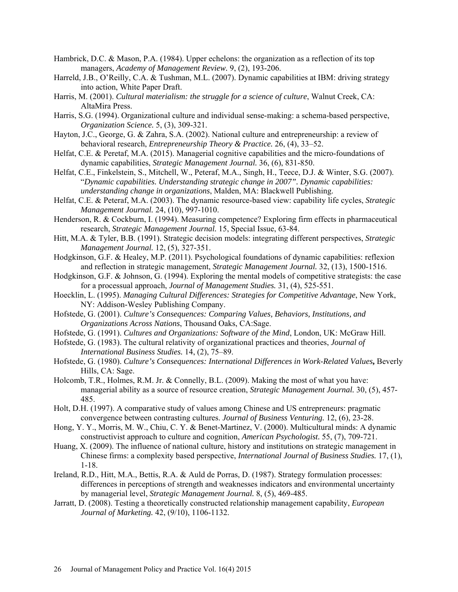- Hambrick, D.C. & Mason, P.A. (1984). Upper echelons: the organization as a reflection of its top managers, *Academy of Management Review.* 9, (2), 193-206.
- Harreld, J.B., O'Reilly, C.A. & Tushman, M.L. (2007). Dynamic capabilities at IBM: driving strategy into action, White Paper Draft.
- Harris, M. (2001). *Cultural materialism: the struggle for a science of culture*, Walnut Creek, CA: AltaMira Press.
- Harris, S.G. (1994). Organizational culture and individual sense-making: a schema-based perspective, *Organization Science.* 5, (3), 309-321.
- Hayton, J.C., George, G. & Zahra, S.A. (2002). National culture and entrepreneurship: a review of behavioral research, *Entrepreneurship Theory & Practice.* 26, (4), 33–52.
- Helfat, C.E. & Peretaf, M.A. (2015). Managerial cognitive capabilities and the micro-foundations of dynamic capabilities, *Strategic Management Journal.* 36, (6), 831-850.
- Helfat, C.E., Finkelstein, S., Mitchell, W., Peteraf, M.A., Singh, H., Teece, D.J. & Winter, S.G. (2007). "*Dynamic capabilities. Understanding strategic change in 2007". Dynamic capabilities: understanding change in organizations*, Malden, MA: Blackwell Publishing.
- Helfat, C.E. & Peteraf, M.A. (2003). The dynamic resource-based view: capability life cycles, *Strategic Management Journal.* 24, (10), 997-1010.
- Henderson, R. & Cockburn, I. (1994). Measuring competence? Exploring firm effects in pharmaceutical research, *Strategic Management Journal.* 15, Special Issue, 63-84.
- Hitt, M.A. & Tyler, B.B. (1991). Strategic decision models: integrating different perspectives, *Strategic Management Journal.* 12, (5), 327-351.
- Hodgkinson, G.F. & Healey, M.P. (2011). Psychological foundations of dynamic capabilities: reflexion and reflection in strategic management, *Strategic Management Journal.* 32, (13), 1500-1516.
- Hodgkinson, G.F. & Johnson, G. (1994). Exploring the mental models of competitive strategists: the case for a processual approach, *Journal of Management Studies.* 31, (4), 525-551.
- Hoecklin, L. (1995). *Managing Cultural Differences: Strategies for Competitive Advantage*, New York, NY: Addison-Wesley Publishing Company.
- Hofstede, G. (2001). *Culture's Consequences: Comparing Values, Behaviors, Institutions, and Organizations Across Nations*, Thousand Oaks, CA:Sage.
- Hofstede, G. (1991). *Cultures and Organizations: Software of the Mind*, London, UK: McGraw Hill.
- Hofstede, G. (1983). The cultural relativity of organizational practices and theories, *Journal of International Business Studies.* 14, (2), 75–89.
- Hofstede, G. (1980). *Culture's Consequences: International Differences in Work-Related Values***,** Beverly Hills, CA: Sage.
- Holcomb, T.R., Holmes, R.M. Jr. & Connelly, B.L. (2009). Making the most of what you have: managerial ability as a source of resource creation, *Strategic Management Journal.* 30, (5), 457- 485.
- Holt, D.H. (1997). A comparative study of values among Chinese and US entrepreneurs: pragmatic convergence between contrasting cultures. *Journal of Business Venturing.* 12, (6), 23-28.
- Hong, Y. Y., Morris, M. W., Chiu, C. Y. & Benet-Martinez, V. (2000). Multicultural minds: A dynamic constructivist approach to culture and cognition, *American Psychologist.* 55, (7), 709-721.
- Huang, X. (2009). The influence of national culture, history and institutions on strategic management in Chinese firms: a complexity based perspective, *International Journal of Business Studies.* 17, (1), 1-18.
- Ireland, R.D., Hitt, M.A., Bettis, R.A. & Auld de Porras, D. (1987). Strategy formulation processes: differences in perceptions of strength and weaknesses indicators and environmental uncertainty by managerial level, *Strategic Management Journal.* 8, (5), 469-485.
- Jarratt, D. (2008). Testing a theoretically constructed relationship management capability, *European Journal of Marketing.* 42, (9/10), 1106-1132.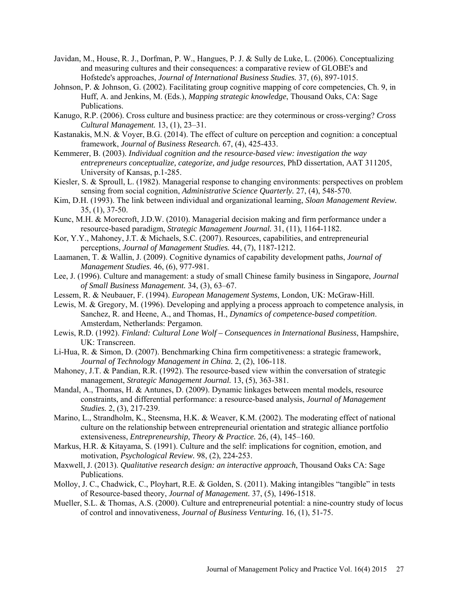- Javidan, M., House, R. J., Dorfman, P. W., Hangues, P. J. & Sully de Luke, L. (2006). Conceptualizing and measuring cultures and their consequences: a comparative review of GLOBE's and Hofstede's approaches, *Journal of International Business Studies.* 37, (6), 897-1015.
- Johnson, P. & Johnson, G. (2002). Facilitating group cognitive mapping of core competencies, Ch. 9, in Huff, A. and Jenkins, M. (Eds.), *Mapping strategic knowledge*, Thousand Oaks, CA: Sage Publications.
- Kanugo, R.P. (2006). Cross culture and business practice: are they coterminous or cross-verging? *Cross Cultural Management.* 13, (1), 23–31.
- Kastanakis, M.N. & Voyer, B.G. (2014). The effect of culture on perception and cognition: a conceptual framework, *Journal of Business Research.* 67, (4), 425-433.
- Kemmerer, B. (2003). *Individual cognition and the resource-based view: investigation the way entrepreneurs conceptualize, categorize, and judge resources*, PhD dissertation, AAT 311205, University of Kansas, p.1-285.
- Kiesler, S. & Sproull, L. (1982). Managerial response to changing environments: perspectives on problem sensing from social cognition, *Administrative Science Quarterly.* 27, (4), 548-570.
- Kim, D.H. (1993). The link between individual and organizational learning, *Sloan Management Review.* 35, (1), 37-50.
- Kunc, M.H. & Morecroft, J.D.W. (2010). Managerial decision making and firm performance under a resource-based paradigm, *Strategic Management Journal.* 31, (11), 1164-1182.
- Kor, Y.Y., Mahoney, J.T. & Michaels, S.C. (2007). Resources, capabilities, and entrepreneurial perceptions, *Journal of Management Studies.* 44, (7), 1187-1212.
- Laamanen, T. & Wallin, J. (2009). Cognitive dynamics of capability development paths, *Journal of Management Studies.* 46, (6), 977-981.
- Lee, J. (1996). Culture and management: a study of small Chinese family business in Singapore, *Journal of Small Business Management.* 34, (3), 63–67.
- Lessem, R. & Neubauer, F. (1994). *European Management Systems*, London, UK: McGraw-Hill.
- Lewis, M. & Gregory, M. (1996). Developing and applying a process approach to competence analysis, in Sanchez, R. and Heene, A., and Thomas, H., *Dynamics of competence-based competition*. Amsterdam, Netherlands: Pergamon.
- Lewis, R.D. (1992). *Finland: Cultural Lone Wolf Consequences in International Business*, Hampshire, UK: Transcreen.
- Li-Hua, R. & Simon, D. (2007). Benchmarking China firm competitiveness: a strategic framework, *Journal of Technology Management in China.* 2, (2), 106-118.
- Mahoney, J.T. & Pandian, R.R. (1992). The resource-based view within the conversation of strategic management, *Strategic Management Journal.* 13, (5), 363-381.
- Mandal, A., Thomas, H. & Antunes, D. (2009). Dynamic linkages between mental models, resource constraints, and differential performance: a resource-based analysis, *Journal of Management Studies.* 2, (3), 217-239.
- Marino, L., Strandholm, K., Steensma, H.K. & Weaver, K.M. (2002). The moderating effect of national culture on the relationship between entrepreneurial orientation and strategic alliance portfolio extensiveness, *Entrepreneurship, Theory & Practice.* 26, (4), 145–160.
- Markus, H.R. & Kitayama, S. (1991). Culture and the self: implications for cognition, emotion, and motivation, *Psychological Review.* 98, (2), 224-253.
- Maxwell, J. (2013). *Qualitative research design: an interactive approach*, Thousand Oaks CA: Sage Publications.
- Molloy, J. C., Chadwick, C., Ployhart, R.E. & Golden, S. (2011). Making intangibles "tangible" in tests of Resource-based theory, *Journal of Management.* 37, (5), 1496-1518.
- Mueller, S.L. & Thomas, A.S. (2000). Culture and entrepreneurial potential: a nine-country study of locus of control and innovativeness, *Journal of Business Venturing.* 16, (1), 51-75.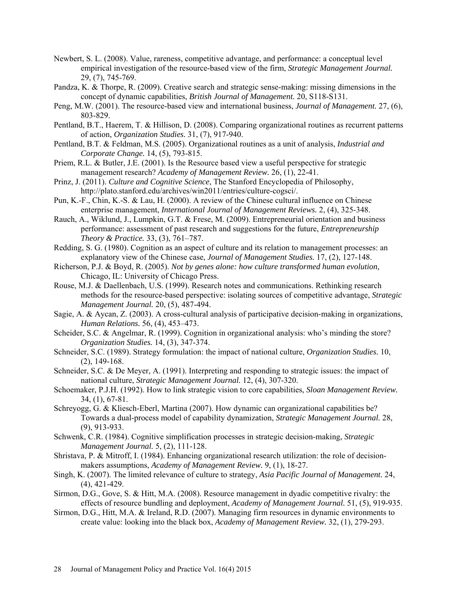- Newbert, S. L. (2008). Value, rareness, competitive advantage, and performance: a conceptual level empirical investigation of the resource-based view of the firm, *Strategic Management Journal.*  29, (7), 745-769.
- Pandza, K. & Thorpe, R. (2009). Creative search and strategic sense-making: missing dimensions in the concept of dynamic capabilities, *British Journal of Management.* 20, S118-S131.
- Peng, M.W. (2001). The resource-based view and international business, *Journal of Management.* 27, (6), 803-829.
- Pentland, B.T., Haerem, T. & Hillison, D. (2008). Comparing organizational routines as recurrent patterns of action, *Organization Studies.* 31, (7), 917-940.
- Pentland, B.T. & Feldman, M.S. (2005). Organizational routines as a unit of analysis, *Industrial and Corporate Change.* 14, (5), 793-815.
- Priem, R.L. & Butler, J.E. (2001). Is the Resource based view a useful perspective for strategic management research? *Academy of Management Review.* 26, (1), 22-41.
- Prinz, J. (2011). *Culture and Cognitive Science*, The Stanford Encyclopedia of Philosophy, [http://plato.stanford.edu/archives/win2011/entries/culture-cogsci/.](http://plato.stanford.edu/archives/win2011/entries/culture-cogsci/)
- Pun, K.-F., Chin, K.-S. & Lau, H. (2000). A review of the Chinese cultural influence on Chinese enterprise management, *International Journal of Management Reviews.* 2, (4), 325-348.
- Rauch, A., Wiklund, J., Lumpkin, G.T. & Frese, M. (2009). Entrepreneurial orientation and business performance: assessment of past research and suggestions for the future, *Entrepreneurship Theory & Practice.* 33, (3), 761–787.
- Redding, S. G. (1980). Cognition as an aspect of culture and its relation to management processes: an explanatory view of the Chinese case, *Journal of Management Studies.* 17, (2), 127-148.
- Richerson, P.J. & Boyd, R. (2005). *Not by genes alone: how culture transformed human evolution,* Chicago, IL: University of Chicago Press.
- Rouse, M.J. & Daellenbach, U.S. (1999). Research notes and communications. Rethinking research methods for the resource-based perspective: isolating sources of competitive advantage, *Strategic Management Journal.* 20, (5), 487-494.
- Sagie, A. & Aycan, Z. (2003). A cross-cultural analysis of participative decision-making in organizations, *Human Relations.* 56, (4), 453–473.
- Scheider, S.C. & Angelmar, R. (1999). Cognition in organizational analysis: who's minding the store? *Organization Studies.* 14, (3), 347-374.
- Schneider, S.C. (1989). Strategy formulation: the impact of national culture, *Organization Studies.* 10, (2), 149-168.
- Schneider, S.C. & De Meyer, A. (1991). Interpreting and responding to strategic issues: the impact of national culture, *Strategic Management Journal.* 12, (4), 307-320.
- Schoemaker, P.J.H. (1992). How to link strategic vision to core capabilities, *Sloan Management Review.*  34, (1), 67-81.
- Schreyogg, G. & Kliesch-Eberl, Martina (2007). How dynamic can organizational capabilities be? Towards a dual-process model of capability dynamization, *Strategic Management Journal.* 28, (9), 913-933.
- Schwenk, C.R. (1984). Cognitive simplification processes in strategic decision-making, *Strategic Management Journal.* 5, (2), 111-128.
- Shristava, P. & Mitroff, I. (1984). Enhancing organizational research utilization: the role of decisionmakers assumptions, *Academy of Management Review.* 9, (1), 18-27.
- Singh, K. (2007). The limited relevance of culture to strategy, *Asia Pacific Journal of Management.* 24, (4), 421-429.
- Sirmon, D.G., Gove, S. & Hitt, M.A. (2008). Resource management in dyadic competitive rivalry: the effects of resource bundling and deployment, *Academy of Management Journal.* 51, (5), 919-935.
- Sirmon, D.G., Hitt, M.A. & Ireland, R.D. (2007). Managing firm resources in dynamic environments to create value: looking into the black box, *Academy of Management Review.* 32, (1), 279-293.